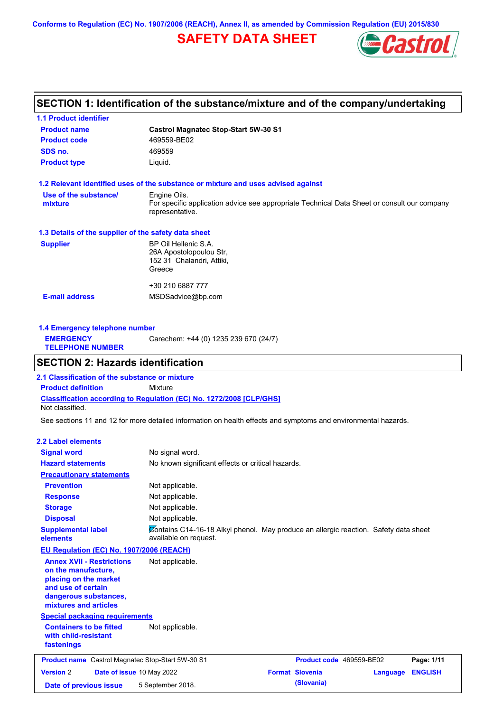**Conforms to Regulation (EC) No. 1907/2006 (REACH), Annex II, as amended by Commission Regulation (EU) 2015/830**

# **SAFETY DATA SHEET**



## **SECTION 1: Identification of the substance/mixture and of the company/undertaking**

| <b>1.1 Product identifier</b>                        |                                                                                                                |  |  |
|------------------------------------------------------|----------------------------------------------------------------------------------------------------------------|--|--|
| <b>Product name</b>                                  | <b>Castrol Magnatec Stop-Start 5W-30 S1</b>                                                                    |  |  |
| <b>Product code</b>                                  | 469559-BE02                                                                                                    |  |  |
| SDS no.                                              | 469559                                                                                                         |  |  |
| <b>Product type</b>                                  | Liquid.                                                                                                        |  |  |
|                                                      | 1.2 Relevant identified uses of the substance or mixture and uses advised against                              |  |  |
| Use of the substance/                                | Engine Oils.                                                                                                   |  |  |
| mixture                                              | For specific application advice see appropriate Technical Data Sheet or consult our company<br>representative. |  |  |
| 1.3 Details of the supplier of the safety data sheet |                                                                                                                |  |  |
| <b>Supplier</b>                                      | BP Oil Hellenic S.A.                                                                                           |  |  |
|                                                      | 26A Apostolopoulou Str.                                                                                        |  |  |
|                                                      | 152 31 Chalandri, Attiki,                                                                                      |  |  |
|                                                      | Greece                                                                                                         |  |  |
|                                                      | +30 210 6887 777                                                                                               |  |  |
| <b>E-mail address</b>                                | MSDSadvice@bp.com                                                                                              |  |  |
|                                                      |                                                                                                                |  |  |
|                                                      |                                                                                                                |  |  |

| Carechem: +44 (0) 1235 239 670 (24/7)<br><b>EMERGENCY</b><br><b>TELEPHONE NUMBER</b> | 1.4 Emergency telephone number |  |
|--------------------------------------------------------------------------------------|--------------------------------|--|
|                                                                                      |                                |  |

## **SECTION 2: Hazards identification**

**Classification according to Regulation (EC) No. 1272/2008 [CLP/GHS] 2.1 Classification of the substance or mixture Product definition** Mixture Not classified.

See sections 11 and 12 for more detailed information on health effects and symptoms and environmental hazards.

### **2.2 Label elements**

| <b>Signal word</b>                                                                                                                                       | No signal word.                                                                                               |                          |          |                |
|----------------------------------------------------------------------------------------------------------------------------------------------------------|---------------------------------------------------------------------------------------------------------------|--------------------------|----------|----------------|
| <b>Hazard statements</b>                                                                                                                                 | No known significant effects or critical hazards.                                                             |                          |          |                |
| <b>Precautionary statements</b>                                                                                                                          |                                                                                                               |                          |          |                |
| <b>Prevention</b>                                                                                                                                        | Not applicable.                                                                                               |                          |          |                |
| <b>Response</b>                                                                                                                                          | Not applicable.                                                                                               |                          |          |                |
| <b>Storage</b>                                                                                                                                           | Not applicable.                                                                                               |                          |          |                |
| <b>Disposal</b>                                                                                                                                          | Not applicable.                                                                                               |                          |          |                |
| <b>Supplemental label</b><br>elements                                                                                                                    | Contains C14-16-18 Alkyl phenol. May produce an allergic reaction. Safety data sheet<br>available on request. |                          |          |                |
| EU Regulation (EC) No. 1907/2006 (REACH)                                                                                                                 |                                                                                                               |                          |          |                |
| <b>Annex XVII - Restrictions</b><br>on the manufacture,<br>placing on the market<br>and use of certain<br>dangerous substances,<br>mixtures and articles | Not applicable.                                                                                               |                          |          |                |
| <b>Special packaging requirements</b>                                                                                                                    |                                                                                                               |                          |          |                |
| <b>Containers to be fitted</b><br>with child-resistant<br>fastenings                                                                                     | Not applicable.                                                                                               |                          |          |                |
| <b>Product name</b> Castrol Magnatec Stop-Start 5W-30 S1                                                                                                 |                                                                                                               | Product code 469559-BE02 |          | Page: 1/11     |
| <b>Version 2</b><br>Date of issue 10 May 2022                                                                                                            |                                                                                                               | <b>Format Slovenia</b>   | Language | <b>ENGLISH</b> |
| Date of previous issue                                                                                                                                   | 5 September 2018.                                                                                             | (Slovania)               |          |                |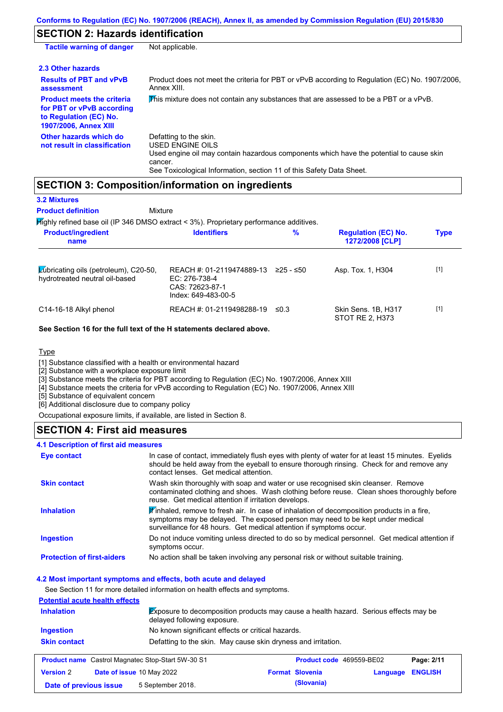## **SECTION 2: Hazards identification**

| <b>Tactile warning of danger</b>                                                                                         | Not applicable.                                                                                                                                                                                                                 |
|--------------------------------------------------------------------------------------------------------------------------|---------------------------------------------------------------------------------------------------------------------------------------------------------------------------------------------------------------------------------|
| 2.3 Other hazards                                                                                                        |                                                                                                                                                                                                                                 |
| <b>Results of PBT and vPvB</b><br>assessment                                                                             | Product does not meet the criteria for PBT or vPvB according to Regulation (EC) No. 1907/2006,<br>Annex XIII.                                                                                                                   |
| <b>Product meets the criteria</b><br>for PBT or vPvB according<br>to Regulation (EC) No.<br><b>1907/2006, Annex XIII</b> | This mixture does not contain any substances that are assessed to be a PBT or a vPvB.                                                                                                                                           |
| Other hazards which do<br>not result in classification                                                                   | Defatting to the skin.<br><b>USED ENGINE OILS</b><br>Used engine oil may contain hazardous components which have the potential to cause skin<br>cancer.<br>See Toxicological Information, section 11 of this Safety Data Sheet. |

## **SECTION 3: Composition/information on ingredients**

| <b>3.2 Mixtures</b><br><b>Product definition</b><br>Mixture                            |                                                                                        |             |                                               |             |
|----------------------------------------------------------------------------------------|----------------------------------------------------------------------------------------|-------------|-----------------------------------------------|-------------|
| Mighly refined base oil (IP 346 DMSO extract < 3%). Proprietary performance additives. |                                                                                        |             |                                               |             |
| <b>Product/ingredient</b><br>name                                                      | <b>Identifiers</b>                                                                     | %           | <b>Regulation (EC) No.</b><br>1272/2008 [CLP] | <b>Type</b> |
| Lubricating oils (petroleum), C20-50,<br>hydrotreated neutral oil-based                | REACH #: 01-2119474889-13<br>$EC: 276-738-4$<br>CAS: 72623-87-1<br>Index: 649-483-00-5 | $≥25 - ≤50$ | Asp. Tox. 1, H304                             | $[1]$       |
| C14-16-18 Alkyl phenol                                                                 | REACH #: 01-2119498288-19                                                              | $\leq 0.3$  | Skin Sens. 1B, H317<br>STOT RE 2. H373        | $[1]$       |

**See Section 16 for the full text of the H statements declared above.**

Type

[1] Substance classified with a health or environmental hazard

[2] Substance with a workplace exposure limit

[3] Substance meets the criteria for PBT according to Regulation (EC) No. 1907/2006, Annex XIII

[4] Substance meets the criteria for vPvB according to Regulation (EC) No. 1907/2006, Annex XIII

[5] Substance of equivalent concern

[6] Additional disclosure due to company policy

Occupational exposure limits, if available, are listed in Section 8.

## **SECTION 4: First aid measures**

#### Do not induce vomiting unless directed to do so by medical personnel. Get medical attention if symptoms occur. In case of contact, immediately flush eyes with plenty of water for at least 15 minutes. Eyelids should be held away from the eyeball to ensure thorough rinsing. Check for and remove any contact lenses. Get medical attention. **4.1 Description of first aid measures**  $\mathbb F$ inhaled, remove to fresh air. In case of inhalation of decomposition products in a fire, symptoms may be delayed. The exposed person may need to be kept under medical surveillance for 48 hours. Get medical attention if symptoms occur. **Ingestion Inhalation Eye contact Protection of first-aiders** No action shall be taken involving any personal risk or without suitable training. **Skin contact** Wash skin thoroughly with soap and water or use recognised skin cleanser. Remove contaminated clothing and shoes. Wash clothing before reuse. Clean shoes thoroughly before reuse. Get medical attention if irritation develops.

#### **4.2 Most important symptoms and effects, both acute and delayed**

See Section 11 for more detailed information on health effects and symptoms.

#### **Potential acute health effects**

| <b>Inhalation</b>   |                                                          | <b>Exposure to decomposition products may cause a health hazard.</b> Serious effects may be<br>delayed following exposure. |                        |                                 |                |
|---------------------|----------------------------------------------------------|----------------------------------------------------------------------------------------------------------------------------|------------------------|---------------------------------|----------------|
| Ingestion           |                                                          | No known significant effects or critical hazards.                                                                          |                        |                                 |                |
| <b>Skin contact</b> |                                                          | Defatting to the skin. May cause skin dryness and irritation.                                                              |                        |                                 |                |
|                     | <b>Product name</b> Castrol Magnatec Stop-Start 5W-30 S1 |                                                                                                                            |                        | <b>Product code</b> 469559-BE02 | Page: 2/11     |
| <b>Version 2</b>    | Date of issue 10 May 2022                                |                                                                                                                            | <b>Format Slovenia</b> | Language                        | <b>ENGLISH</b> |
|                     | 5 September 2018.<br>Date of previous issue              |                                                                                                                            | (Slovania)             |                                 |                |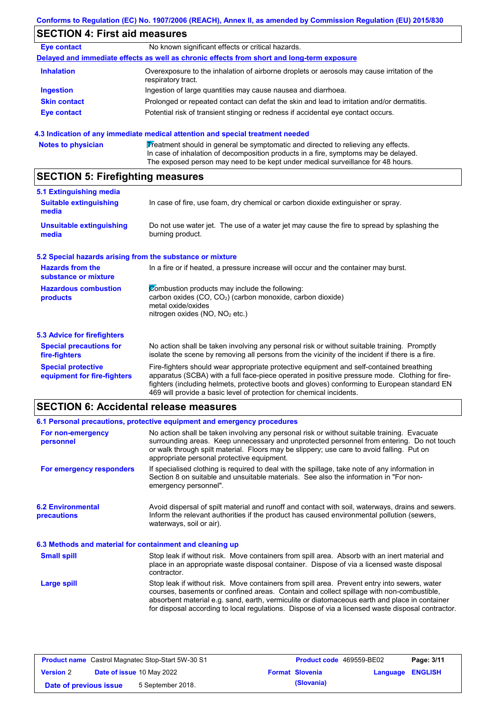# **SECTION 4: First aid measures**

| <b>Eye contact</b>  | No known significant effects or critical hazards.                                                                 |
|---------------------|-------------------------------------------------------------------------------------------------------------------|
|                     | Delayed and immediate effects as well as chronic effects from short and long-term exposure                        |
| <b>Inhalation</b>   | Overexposure to the inhalation of airborne droplets or aerosols may cause irritation of the<br>respiratory tract. |
| <b>Ingestion</b>    | Ingestion of large quantities may cause nausea and diarrhoea.                                                     |
| <b>Skin contact</b> | Prolonged or repeated contact can defat the skin and lead to irritation and/or dermatitis.                        |
| <b>Eye contact</b>  | Potential risk of transient stinging or redness if accidental eye contact occurs.                                 |

|  |  | <b>Notes to physicial</b> |  |
|--|--|---------------------------|--|
|  |  |                           |  |

**Rotes to produce to prope to propent** Treatment should in general be symptomatic and directed to relieving any effects. In case of inhalation of decomposition products in a fire, symptoms may be delayed. The exposed person may need to be kept under medical surveillance for 48 hours.

## **SECTION 5: Firefighting measures**

| 5.1 Extinguishing media                                   |                                                                                                                                                                                                                                                                                                                                                                   |
|-----------------------------------------------------------|-------------------------------------------------------------------------------------------------------------------------------------------------------------------------------------------------------------------------------------------------------------------------------------------------------------------------------------------------------------------|
| <b>Suitable extinguishing</b><br>media                    | In case of fire, use foam, dry chemical or carbon dioxide extinguisher or spray.                                                                                                                                                                                                                                                                                  |
| <b>Unsuitable extinguishing</b><br>media                  | Do not use water jet. The use of a water jet may cause the fire to spread by splashing the<br>burning product.                                                                                                                                                                                                                                                    |
| 5.2 Special hazards arising from the substance or mixture |                                                                                                                                                                                                                                                                                                                                                                   |
| <b>Hazards from the</b><br>substance or mixture           | In a fire or if heated, a pressure increase will occur and the container may burst.                                                                                                                                                                                                                                                                               |
| <b>Hazardous combustion</b><br>products                   | Combustion products may include the following:<br>carbon oxides (CO, CO <sub>2</sub> ) (carbon monoxide, carbon dioxide)<br>metal oxide/oxides<br>nitrogen oxides (NO, NO <sub>2</sub> etc.)                                                                                                                                                                      |
| <b>5.3 Advice for firefighters</b>                        |                                                                                                                                                                                                                                                                                                                                                                   |
| <b>Special precautions for</b><br>fire-fighters           | No action shall be taken involving any personal risk or without suitable training. Promptly<br>isolate the scene by removing all persons from the vicinity of the incident if there is a fire.                                                                                                                                                                    |
| <b>Special protective</b><br>equipment for fire-fighters  | Fire-fighters should wear appropriate protective equipment and self-contained breathing<br>apparatus (SCBA) with a full face-piece operated in positive pressure mode. Clothing for fire-<br>fighters (including helmets, protective boots and gloves) conforming to European standard EN<br>469 will provide a basic level of protection for chemical incidents. |

## **SECTION 6: Accidental release measures**

|                                                          | 6.1 Personal precautions, protective equipment and emergency procedures                                                                                                                                                                                                                                                                                                                        |
|----------------------------------------------------------|------------------------------------------------------------------------------------------------------------------------------------------------------------------------------------------------------------------------------------------------------------------------------------------------------------------------------------------------------------------------------------------------|
| For non-emergency<br>personnel                           | No action shall be taken involving any personal risk or without suitable training. Evacuate<br>surrounding areas. Keep unnecessary and unprotected personnel from entering. Do not touch<br>or walk through spilt material. Floors may be slippery; use care to avoid falling. Put on<br>appropriate personal protective equipment.                                                            |
| For emergency responders                                 | If specialised clothing is required to deal with the spillage, take note of any information in<br>Section 8 on suitable and unsuitable materials. See also the information in "For non-<br>emergency personnel".                                                                                                                                                                               |
| <b>6.2 Environmental</b><br>precautions                  | Avoid dispersal of spilt material and runoff and contact with soil, waterways, drains and sewers.<br>Inform the relevant authorities if the product has caused environmental pollution (sewers,<br>waterways, soil or air).                                                                                                                                                                    |
| 6.3 Methods and material for containment and cleaning up |                                                                                                                                                                                                                                                                                                                                                                                                |
| <b>Small spill</b>                                       | Stop leak if without risk. Move containers from spill area. Absorb with an inert material and<br>place in an appropriate waste disposal container. Dispose of via a licensed waste disposal<br>contractor.                                                                                                                                                                                     |
| Large spill                                              | Stop leak if without risk. Move containers from spill area. Prevent entry into sewers, water<br>courses, basements or confined areas. Contain and collect spillage with non-combustible,<br>absorbent material e.g. sand, earth, vermiculite or diatomaceous earth and place in container<br>for disposal according to local regulations. Dispose of via a licensed waste disposal contractor. |

| <b>Product name</b> Castrol Magnatec Stop-Start 5W-30 S1 |  |                                  | <b>Product code</b> 469559-BE02 |                         | Page: 3/11 |
|----------------------------------------------------------|--|----------------------------------|---------------------------------|-------------------------|------------|
| <b>Version 2</b>                                         |  | <b>Date of issue 10 May 2022</b> | <b>Format Slovenia</b>          | <b>Language ENGLISH</b> |            |
| Date of previous issue                                   |  | 5 September 2018.                | (Slovania)                      |                         |            |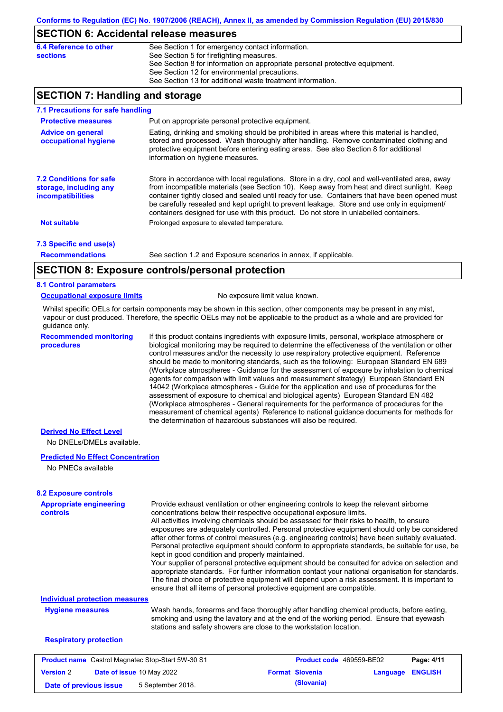## **SECTION 6: Accidental release measures**

| 6.4 Reference to other | See Section 1 for emergency contact information.                            |
|------------------------|-----------------------------------------------------------------------------|
| sections               | See Section 5 for firefighting measures.                                    |
|                        | See Section 8 for information on appropriate personal protective equipment. |
|                        | See Section 12 for environmental precautions.                               |
|                        | See Section 13 for additional waste treatment information.                  |

## **SECTION 7: Handling and storage**

| 7.1 Precautions for safe handling                                                    |                                                                                                                                                                                                                                                                                                                                                                                                                                                                                          |
|--------------------------------------------------------------------------------------|------------------------------------------------------------------------------------------------------------------------------------------------------------------------------------------------------------------------------------------------------------------------------------------------------------------------------------------------------------------------------------------------------------------------------------------------------------------------------------------|
| <b>Protective measures</b>                                                           | Put on appropriate personal protective equipment.                                                                                                                                                                                                                                                                                                                                                                                                                                        |
| <b>Advice on general</b><br>occupational hygiene                                     | Eating, drinking and smoking should be prohibited in areas where this material is handled,<br>stored and processed. Wash thoroughly after handling. Remove contaminated clothing and<br>protective equipment before entering eating areas. See also Section 8 for additional<br>information on hygiene measures.                                                                                                                                                                         |
| <b>7.2 Conditions for safe</b><br>storage, including any<br><i>incompatibilities</i> | Store in accordance with local regulations. Store in a dry, cool and well-ventilated area, away<br>from incompatible materials (see Section 10). Keep away from heat and direct sunlight. Keep<br>container tightly closed and sealed until ready for use. Containers that have been opened must<br>be carefully resealed and kept upright to prevent leakage. Store and use only in equipment/<br>containers designed for use with this product. Do not store in unlabelled containers. |
| <b>Not suitable</b>                                                                  | Prolonged exposure to elevated temperature.                                                                                                                                                                                                                                                                                                                                                                                                                                              |
| 7.3 Specific end use(s)                                                              |                                                                                                                                                                                                                                                                                                                                                                                                                                                                                          |
| <b>Recommendations</b>                                                               | See section 1.2 and Exposure scenarios in annex, if applicable.                                                                                                                                                                                                                                                                                                                                                                                                                          |
|                                                                                      | CECTION 0. Evansure controlate research protection                                                                                                                                                                                                                                                                                                                                                                                                                                       |

## **SECTION 8: Exposure controls/personal protection**

### **8.1 Control parameters**

#### **Occupational exposure limits** No exposure limit value known.

Whilst specific OELs for certain components may be shown in this section, other components may be present in any mist, vapour or dust produced. Therefore, the specific OELs may not be applicable to the product as a whole and are provided for guidance only.

**Recommended monitoring procedures**

If this product contains ingredients with exposure limits, personal, workplace atmosphere or biological monitoring may be required to determine the effectiveness of the ventilation or other control measures and/or the necessity to use respiratory protective equipment. Reference should be made to monitoring standards, such as the following: European Standard EN 689 (Workplace atmospheres - Guidance for the assessment of exposure by inhalation to chemical agents for comparison with limit values and measurement strategy) European Standard EN 14042 (Workplace atmospheres - Guide for the application and use of procedures for the assessment of exposure to chemical and biological agents) European Standard EN 482 (Workplace atmospheres - General requirements for the performance of procedures for the measurement of chemical agents) Reference to national guidance documents for methods for the determination of hazardous substances will also be required.

### **Derived No Effect Level**

No DNELs/DMELs available.

### **Predicted No Effect Concentration**

No PNECs available

| <b>Appropriate engineering</b><br><b>controls</b>        | Provide exhaust ventilation or other engineering controls to keep the relevant airborne<br>concentrations below their respective occupational exposure limits.<br>All activities involving chemicals should be assessed for their risks to health, to ensure<br>exposures are adequately controlled. Personal protective equipment should only be considered<br>after other forms of control measures (e.g. engineering controls) have been suitably evaluated.<br>Personal protective equipment should conform to appropriate standards, be suitable for use, be |  |                          |          |                |  |
|----------------------------------------------------------|-------------------------------------------------------------------------------------------------------------------------------------------------------------------------------------------------------------------------------------------------------------------------------------------------------------------------------------------------------------------------------------------------------------------------------------------------------------------------------------------------------------------------------------------------------------------|--|--------------------------|----------|----------------|--|
|                                                          | kept in good condition and properly maintained.<br>Your supplier of personal protective equipment should be consulted for advice on selection and<br>appropriate standards. For further information contact your national organisation for standards.<br>The final choice of protective equipment will depend upon a risk assessment. It is important to<br>ensure that all items of personal protective equipment are compatible.                                                                                                                                |  |                          |          |                |  |
| <b>Individual protection measures</b>                    |                                                                                                                                                                                                                                                                                                                                                                                                                                                                                                                                                                   |  |                          |          |                |  |
| <b>Hygiene measures</b>                                  | Wash hands, forearms and face thoroughly after handling chemical products, before eating,<br>smoking and using the lavatory and at the end of the working period. Ensure that eyewash<br>stations and safety showers are close to the workstation location.                                                                                                                                                                                                                                                                                                       |  |                          |          |                |  |
| <b>Respiratory protection</b>                            |                                                                                                                                                                                                                                                                                                                                                                                                                                                                                                                                                                   |  |                          |          |                |  |
| <b>Product name</b> Castrol Magnatec Stop-Start 5W-30 S1 |                                                                                                                                                                                                                                                                                                                                                                                                                                                                                                                                                                   |  | Product code 469559-BE02 |          | Page: 4/11     |  |
| Date of issue 10 May 2022<br><b>Version 2</b>            |                                                                                                                                                                                                                                                                                                                                                                                                                                                                                                                                                                   |  | <b>Format Slovenia</b>   | Language | <b>ENGLISH</b> |  |

**Date of previous issue 5** September 2018. **(Slovania) (Slovania)**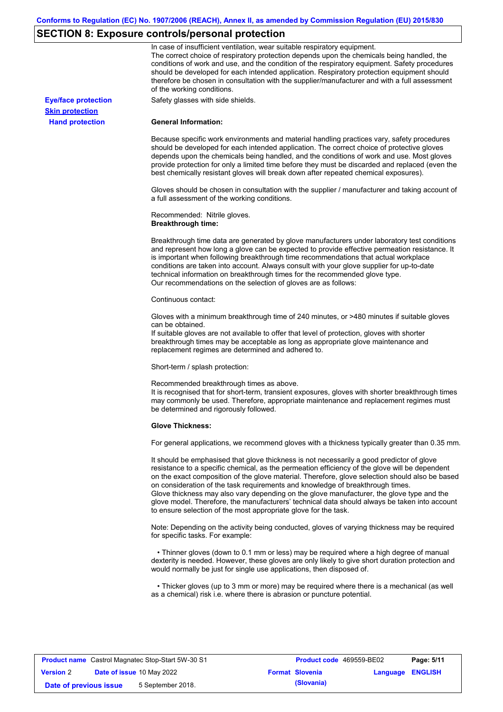# **SECTION 8: Exposure controls/personal protection**

|                            | In case of insufficient ventilation, wear suitable respiratory equipment.<br>The correct choice of respiratory protection depends upon the chemicals being handled, the<br>conditions of work and use, and the condition of the respiratory equipment. Safety procedures<br>should be developed for each intended application. Respiratory protection equipment should<br>therefore be chosen in consultation with the supplier/manufacturer and with a full assessment<br>of the working conditions.                                                                                                                                             |
|----------------------------|---------------------------------------------------------------------------------------------------------------------------------------------------------------------------------------------------------------------------------------------------------------------------------------------------------------------------------------------------------------------------------------------------------------------------------------------------------------------------------------------------------------------------------------------------------------------------------------------------------------------------------------------------|
| <b>Eye/face protection</b> | Safety glasses with side shields.                                                                                                                                                                                                                                                                                                                                                                                                                                                                                                                                                                                                                 |
| <b>Skin protection</b>     |                                                                                                                                                                                                                                                                                                                                                                                                                                                                                                                                                                                                                                                   |
| <b>Hand protection</b>     | <b>General Information:</b>                                                                                                                                                                                                                                                                                                                                                                                                                                                                                                                                                                                                                       |
|                            | Because specific work environments and material handling practices vary, safety procedures<br>should be developed for each intended application. The correct choice of protective gloves<br>depends upon the chemicals being handled, and the conditions of work and use. Most gloves<br>provide protection for only a limited time before they must be discarded and replaced (even the<br>best chemically resistant gloves will break down after repeated chemical exposures).                                                                                                                                                                  |
|                            | Gloves should be chosen in consultation with the supplier / manufacturer and taking account of<br>a full assessment of the working conditions.                                                                                                                                                                                                                                                                                                                                                                                                                                                                                                    |
|                            | Recommended: Nitrile gloves.<br><b>Breakthrough time:</b>                                                                                                                                                                                                                                                                                                                                                                                                                                                                                                                                                                                         |
|                            | Breakthrough time data are generated by glove manufacturers under laboratory test conditions<br>and represent how long a glove can be expected to provide effective permeation resistance. It<br>is important when following breakthrough time recommendations that actual workplace<br>conditions are taken into account. Always consult with your glove supplier for up-to-date<br>technical information on breakthrough times for the recommended glove type.<br>Our recommendations on the selection of gloves are as follows:                                                                                                                |
|                            | Continuous contact:                                                                                                                                                                                                                                                                                                                                                                                                                                                                                                                                                                                                                               |
|                            | Gloves with a minimum breakthrough time of 240 minutes, or >480 minutes if suitable gloves<br>can be obtained.<br>If suitable gloves are not available to offer that level of protection, gloves with shorter<br>breakthrough times may be acceptable as long as appropriate glove maintenance and<br>replacement regimes are determined and adhered to.                                                                                                                                                                                                                                                                                          |
|                            | Short-term / splash protection:                                                                                                                                                                                                                                                                                                                                                                                                                                                                                                                                                                                                                   |
|                            | Recommended breakthrough times as above.<br>It is recognised that for short-term, transient exposures, gloves with shorter breakthrough times<br>may commonly be used. Therefore, appropriate maintenance and replacement regimes must<br>be determined and rigorously followed.                                                                                                                                                                                                                                                                                                                                                                  |
|                            | <b>Glove Thickness:</b>                                                                                                                                                                                                                                                                                                                                                                                                                                                                                                                                                                                                                           |
|                            | For general applications, we recommend gloves with a thickness typically greater than 0.35 mm.                                                                                                                                                                                                                                                                                                                                                                                                                                                                                                                                                    |
|                            | It should be emphasised that glove thickness is not necessarily a good predictor of glove<br>resistance to a specific chemical, as the permeation efficiency of the glove will be dependent<br>on the exact composition of the glove material. Therefore, glove selection should also be based<br>on consideration of the task requirements and knowledge of breakthrough times.<br>Glove thickness may also vary depending on the glove manufacturer, the glove type and the<br>glove model. Therefore, the manufacturers' technical data should always be taken into account<br>to ensure selection of the most appropriate glove for the task. |
|                            | Note: Depending on the activity being conducted, gloves of varying thickness may be required<br>for specific tasks. For example:                                                                                                                                                                                                                                                                                                                                                                                                                                                                                                                  |
|                            | • Thinner gloves (down to 0.1 mm or less) may be required where a high degree of manual<br>dexterity is needed. However, these gloves are only likely to give short duration protection and<br>would normally be just for single use applications, then disposed of.                                                                                                                                                                                                                                                                                                                                                                              |
|                            | • Thicker gloves (up to 3 mm or more) may be required where there is a mechanical (as well<br>as a chemical) risk i.e. where there is abrasion or puncture potential.                                                                                                                                                                                                                                                                                                                                                                                                                                                                             |

| <b>Product name</b> Castrol Magnatec Stop-Start 5W-30 S1 |  |                                  | <b>Product code</b> 469559-BE02 |                        | Page: 5/11              |  |
|----------------------------------------------------------|--|----------------------------------|---------------------------------|------------------------|-------------------------|--|
| <b>Version 2</b>                                         |  | <b>Date of issue 10 May 2022</b> |                                 | <b>Format Slovenia</b> | <b>Language ENGLISH</b> |  |
| Date of previous issue                                   |  | 5 September 2018.                |                                 | (Slovania)             |                         |  |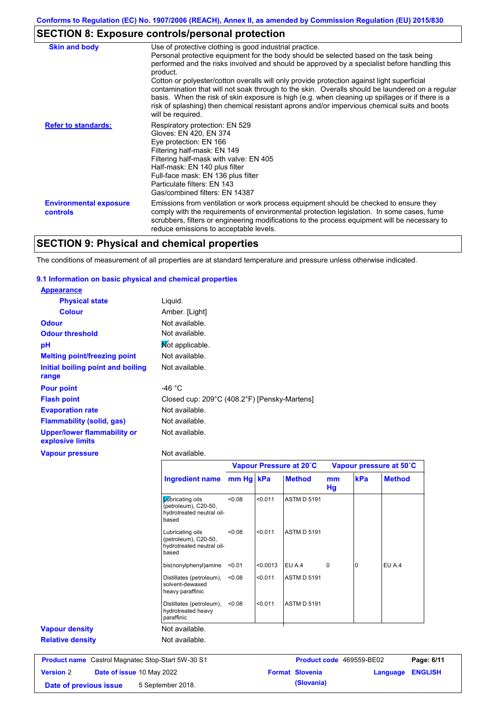# **SECTION 8: Exposure controls/personal protection**

| <b>Skin and body</b>                             | Use of protective clothing is good industrial practice.                                                                                                                                                                                                                                                                                                                                                               |
|--------------------------------------------------|-----------------------------------------------------------------------------------------------------------------------------------------------------------------------------------------------------------------------------------------------------------------------------------------------------------------------------------------------------------------------------------------------------------------------|
|                                                  | Personal protective equipment for the body should be selected based on the task being<br>performed and the risks involved and should be approved by a specialist before handling this<br>product.                                                                                                                                                                                                                     |
|                                                  | Cotton or polyester/cotton overalls will only provide protection against light superficial<br>contamination that will not soak through to the skin. Overalls should be laundered on a regular<br>basis. When the risk of skin exposure is high (e.g. when cleaning up spillages or if there is a<br>risk of splashing) then chemical resistant aprons and/or impervious chemical suits and boots<br>will be required. |
| <b>Refer to standards:</b>                       | Respiratory protection: EN 529<br>Gloves: EN 420, EN 374<br>Eye protection: EN 166<br>Filtering half-mask: EN 149<br>Filtering half-mask with valve: EN 405<br>Half-mask: EN 140 plus filter<br>Full-face mask: EN 136 plus filter<br>Particulate filters: EN 143<br>Gas/combined filters: EN 14387                                                                                                                   |
| <b>Environmental exposure</b><br><b>controls</b> | Emissions from ventilation or work process equipment should be checked to ensure they<br>comply with the requirements of environmental protection legislation. In some cases, fume<br>scrubbers, filters or engineering modifications to the process equipment will be necessary to<br>reduce emissions to acceptable levels.                                                                                         |

# **SECTION 9: Physical and chemical properties**

The conditions of measurement of all properties are at standard temperature and pressure unless otherwise indicated.

### **9.1 Information on basic physical and chemical properties**

| <b>Appearance</b>                               |                                              |
|-------------------------------------------------|----------------------------------------------|
| <b>Physical state</b>                           | Liquid.                                      |
| <b>Colour</b>                                   | Amber. [Light]                               |
| <b>Odour</b>                                    | Not available.                               |
| <b>Odour threshold</b>                          | Not available.                               |
| рH                                              | Mot applicable.                              |
| <b>Melting point/freezing point</b>             | Not available.                               |
| Initial boiling point and boiling<br>range      | Not available.                               |
| <b>Pour point</b>                               | -46 $^{\circ}$ C                             |
| <b>Flash point</b>                              | Closed cup: 209°C (408.2°F) [Pensky-Martens] |
| <b>Evaporation rate</b>                         | Not available.                               |
| <b>Flammability (solid, gas)</b>                | Not available.                               |
| Upper/lower flammability or<br>explosive limits | Not available.                               |
| <b>Vapour pressure</b>                          | Not available.                               |

|                         |                                                                                |           |          | Vapour Pressure at 20°C<br>Vapour pressure at 50°C |             |     |               |
|-------------------------|--------------------------------------------------------------------------------|-----------|----------|----------------------------------------------------|-------------|-----|---------------|
|                         | <b>Ingredient name</b>                                                         | mm Hg kPa |          | <b>Method</b>                                      | mm<br>Hg    | kPa | <b>Method</b> |
|                         | Lubricating oils<br>(petroleum), C20-50,<br>hydrotreated neutral oil-<br>based | < 0.08    | < 0.011  | <b>ASTM D 5191</b>                                 |             |     |               |
|                         | Lubricating oils<br>(petroleum), C20-50,<br>hydrotreated neutral oil-<br>based | < 0.08    | < 0.011  | <b>ASTM D 5191</b>                                 |             |     |               |
|                         | bis(nonylphenyl)amine                                                          | < 0.01    | < 0.0013 | EU A.4                                             | $\mathbf 0$ | 0   | EU A.4        |
|                         | Distillates (petroleum),<br>solvent-dewaxed<br>heavy paraffinic                | < 0.08    | < 0.011  | <b>ASTM D 5191</b>                                 |             |     |               |
|                         | Distillates (petroleum),<br>hydrotreated heavy<br>paraffinic                   | < 0.08    | < 0.011  | <b>ASTM D 5191</b>                                 |             |     |               |
| <b>Vapour density</b>   | Not available.                                                                 |           |          |                                                    |             |     |               |
| <b>Relative density</b> | Not available.                                                                 |           |          |                                                    |             |     |               |

**Version** 2 **Date of issue** 10 May 2022 **Format Slovenia Language ENGLISH Date of previous issue 5** September 2018. **(Slovania) (Slovania)**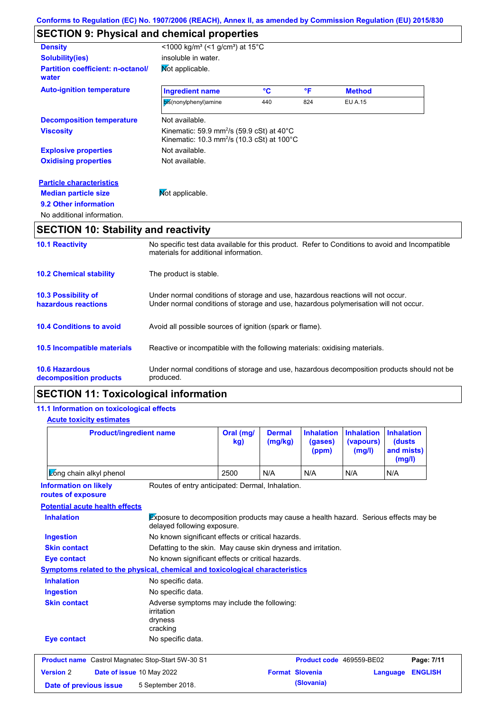# **SECTION 9: Physical and chemical properties**

| <b>Density</b>                                    | <1000 kg/m <sup>3</sup> (<1 g/cm <sup>3</sup> ) at 15 <sup>°</sup> C                                                                       |     |     |                |  |
|---------------------------------------------------|--------------------------------------------------------------------------------------------------------------------------------------------|-----|-----|----------------|--|
| <b>Solubility(ies)</b>                            | insoluble in water.                                                                                                                        |     |     |                |  |
| <b>Partition coefficient: n-octanol/</b><br>water | Mot applicable.                                                                                                                            |     |     |                |  |
| <b>Auto-ignition temperature</b>                  | <b>Ingredient name</b>                                                                                                                     | °C  | °F  | <b>Method</b>  |  |
|                                                   | bis(nonylphenyl)amine                                                                                                                      | 440 | 824 | <b>EU A.15</b> |  |
| <b>Decomposition temperature</b>                  | Not available.                                                                                                                             |     |     |                |  |
| <b>Viscosity</b>                                  | Kinematic: 59.9 mm <sup>2</sup> /s (59.9 cSt) at 40 $^{\circ}$ C<br>Kinematic: $10.3 \text{ mm}^2/\text{s}$ (10.3 cSt) at 100 $^{\circ}$ C |     |     |                |  |
| <b>Explosive properties</b>                       | Not available.                                                                                                                             |     |     |                |  |
| <b>Oxidising properties</b>                       | Not available.                                                                                                                             |     |     |                |  |
| <b>Particle characteristics</b>                   |                                                                                                                                            |     |     |                |  |
| <b>Median particle size</b>                       | Mot applicable.                                                                                                                            |     |     |                |  |
| 9.2 Other information                             |                                                                                                                                            |     |     |                |  |
| No additional information.                        |                                                                                                                                            |     |     |                |  |
| <b>SECTION 10: Stability and reactivity</b>       |                                                                                                                                            |     |     |                |  |

| <b>10.1 Reactivity</b>                            | No specific test data available for this product. Refer to Conditions to avoid and Incompatible<br>materials for additional information.                                |
|---------------------------------------------------|-------------------------------------------------------------------------------------------------------------------------------------------------------------------------|
| <b>10.2 Chemical stability</b>                    | The product is stable.                                                                                                                                                  |
| <b>10.3 Possibility of</b><br>hazardous reactions | Under normal conditions of storage and use, hazardous reactions will not occur.<br>Under normal conditions of storage and use, hazardous polymerisation will not occur. |
| <b>10.4 Conditions to avoid</b>                   | Avoid all possible sources of ignition (spark or flame).                                                                                                                |
| <b>10.5 Incompatible materials</b>                | Reactive or incompatible with the following materials: oxidising materials.                                                                                             |
| <b>10.6 Hazardous</b><br>decomposition products   | Under normal conditions of storage and use, hazardous decomposition products should not be<br>produced.                                                                 |

## **SECTION 11: Toxicological information**

## **11.1 Information on toxicological effects**

#### **Acute toxicity estimates**

| <b>Product/ingredient name</b>                                                                                                           |                                                                                  | Oral (mg/<br>kg)                                              | <b>Dermal</b><br>(mg/kg) | <b>Inhalation</b><br>(gases)<br>(ppm) | <b>Inhalation</b><br>(vapours)<br>(mg/l) | <b>Inhalation</b><br>(dusts<br>and mists)<br>(mg/l) |  |
|------------------------------------------------------------------------------------------------------------------------------------------|----------------------------------------------------------------------------------|---------------------------------------------------------------|--------------------------|---------------------------------------|------------------------------------------|-----------------------------------------------------|--|
| Zong chain alkyl phenol                                                                                                                  |                                                                                  | 2500                                                          | N/A                      | N/A                                   | N/A                                      | N/A                                                 |  |
| <b>Information on likely</b><br>routes of exposure                                                                                       | Routes of entry anticipated: Dermal, Inhalation.                                 |                                                               |                          |                                       |                                          |                                                     |  |
| <b>Potential acute health effects</b>                                                                                                    |                                                                                  |                                                               |                          |                                       |                                          |                                                     |  |
| Exposure to decomposition products may cause a health hazard. Serious effects may be<br><b>Inhalation</b><br>delayed following exposure. |                                                                                  |                                                               |                          |                                       |                                          |                                                     |  |
| No known significant effects or critical hazards.<br><b>Ingestion</b><br><b>Skin contact</b>                                             |                                                                                  |                                                               |                          |                                       |                                          |                                                     |  |
|                                                                                                                                          |                                                                                  | Defatting to the skin. May cause skin dryness and irritation. |                          |                                       |                                          |                                                     |  |
| No known significant effects or critical hazards.<br><b>Eye contact</b>                                                                  |                                                                                  |                                                               |                          |                                       |                                          |                                                     |  |
| Symptoms related to the physical, chemical and toxicological characteristics                                                             |                                                                                  |                                                               |                          |                                       |                                          |                                                     |  |
| <b>Inhalation</b>                                                                                                                        | No specific data.                                                                |                                                               |                          |                                       |                                          |                                                     |  |
| <b>Ingestion</b>                                                                                                                         | No specific data.                                                                |                                                               |                          |                                       |                                          |                                                     |  |
| <b>Skin contact</b>                                                                                                                      | Adverse symptoms may include the following:<br>irritation<br>dryness<br>cracking |                                                               |                          |                                       |                                          |                                                     |  |
| <b>Eye contact</b>                                                                                                                       | No specific data.                                                                |                                                               |                          |                                       |                                          |                                                     |  |
| <b>Product name</b> Castrol Magnatec Stop-Start 5W-30 S1                                                                                 |                                                                                  |                                                               |                          | Product code 469559-BE02              |                                          | Page: 7/11                                          |  |
| <b>Version 2</b>                                                                                                                         | Date of issue 10 May 2022                                                        |                                                               | <b>Format Slovenia</b>   |                                       |                                          | <b>ENGLISH</b><br>Language                          |  |
| 5 September 2018.<br>Date of previous issue                                                                                              |                                                                                  |                                                               |                          | (Slovania)                            |                                          |                                                     |  |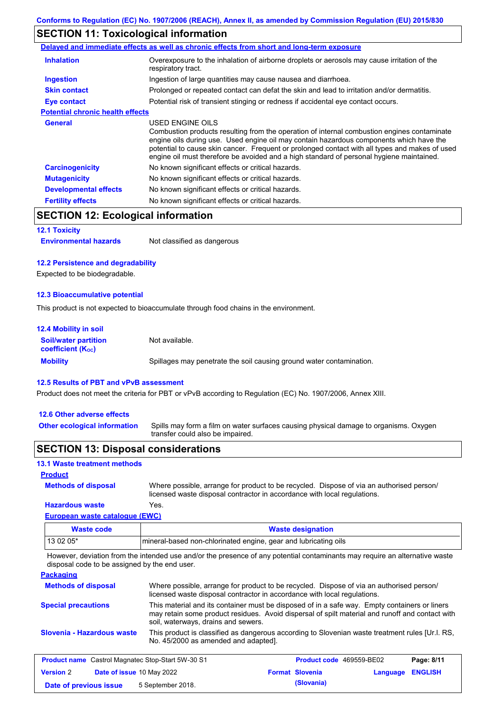## **SECTION 11: Toxicological information**

|                                         | Delayed and immediate effects as well as chronic effects from short and long-term exposure                                                                                                                                                                                                                                                                                                               |
|-----------------------------------------|----------------------------------------------------------------------------------------------------------------------------------------------------------------------------------------------------------------------------------------------------------------------------------------------------------------------------------------------------------------------------------------------------------|
| <b>Inhalation</b>                       | Overexposure to the inhalation of airborne droplets or aerosols may cause irritation of the<br>respiratory tract.                                                                                                                                                                                                                                                                                        |
| <b>Ingestion</b>                        | Ingestion of large quantities may cause nausea and diarrhoea.                                                                                                                                                                                                                                                                                                                                            |
| <b>Skin contact</b>                     | Prolonged or repeated contact can defat the skin and lead to irritation and/or dermatitis.                                                                                                                                                                                                                                                                                                               |
| Eye contact                             | Potential risk of transient stinging or redness if accidental eye contact occurs.                                                                                                                                                                                                                                                                                                                        |
| <b>Potential chronic health effects</b> |                                                                                                                                                                                                                                                                                                                                                                                                          |
| <b>General</b>                          | USED ENGINE OILS<br>Combustion products resulting from the operation of internal combustion engines contaminate<br>engine oils during use. Used engine oil may contain hazardous components which have the<br>potential to cause skin cancer. Frequent or prolonged contact with all types and makes of used<br>engine oil must therefore be avoided and a high standard of personal hygiene maintained. |
| <b>Carcinogenicity</b>                  | No known significant effects or critical hazards.                                                                                                                                                                                                                                                                                                                                                        |
| <b>Mutagenicity</b>                     | No known significant effects or critical hazards.                                                                                                                                                                                                                                                                                                                                                        |
| <b>Developmental effects</b>            | No known significant effects or critical hazards.                                                                                                                                                                                                                                                                                                                                                        |
| <b>Fertility effects</b>                | No known significant effects or critical hazards.                                                                                                                                                                                                                                                                                                                                                        |

## **SECTION 12: Ecological information**

#### **12.1 Toxicity**

**Environmental hazards** Not classified as dangerous

### **12.2 Persistence and degradability**

Expected to be biodegradable.

#### **12.3 Bioaccumulative potential**

This product is not expected to bioaccumulate through food chains in the environment.

| <b>12.4 Mobility in soil</b>                            |                                                                      |
|---------------------------------------------------------|----------------------------------------------------------------------|
| <b>Soil/water partition</b><br><b>coefficient (Koc)</b> | Not available.                                                       |
| <b>Mobility</b>                                         | Spillages may penetrate the soil causing ground water contamination. |

#### **12.5 Results of PBT and vPvB assessment**

Product does not meet the criteria for PBT or vPvB according to Regulation (EC) No. 1907/2006, Annex XIII.

#### **12.6 Other adverse effects**

Spills may form a film on water surfaces causing physical damage to organisms. Oxygen transfer could also be impaired. **Other ecological information**

## **SECTION 13: Disposal considerations**

### **13.1 Waste treatment methods**

### **Product**

**Methods of disposal**

Where possible, arrange for product to be recycled. Dispose of via an authorised person/ licensed waste disposal contractor in accordance with local regulations.

## **Hazardous waste** Yes.

| European waste catalogue (EWC) |                                                                  |  |
|--------------------------------|------------------------------------------------------------------|--|
| Waste code                     | <b>Waste designation</b>                                         |  |
| 13 02 05*                      | Imineral-based non-chlorinated engine, gear and lubricating oils |  |

However, deviation from the intended use and/or the presence of any potential contaminants may require an alternative waste disposal code to be assigned by the end user.

#### **Packaging**

| <b>Methods of disposal</b>                                                                                                                                            |                           | Where possible, arrange for product to be recycled. Dispose of via an authorised person/<br>licensed waste disposal contractor in accordance with local regulations.                                                                    |  |                        |                                 |                |
|-----------------------------------------------------------------------------------------------------------------------------------------------------------------------|---------------------------|-----------------------------------------------------------------------------------------------------------------------------------------------------------------------------------------------------------------------------------------|--|------------------------|---------------------------------|----------------|
| <b>Special precautions</b>                                                                                                                                            |                           | This material and its container must be disposed of in a safe way. Empty containers or liners<br>may retain some product residues. Avoid dispersal of spilt material and runoff and contact with<br>soil, waterways, drains and sewers. |  |                        |                                 |                |
| Slovenia - Hazardous waste<br>This product is classified as dangerous according to Slovenian waste treatment rules [Ur.l. RS.<br>No. 45/2000 as amended and adapted]. |                           |                                                                                                                                                                                                                                         |  |                        |                                 |                |
|                                                                                                                                                                       |                           | <b>Product name</b> Castrol Magnatec Stop-Start 5W-30 S1                                                                                                                                                                                |  |                        | <b>Product code</b> 469559-BE02 | Page: 8/11     |
| <b>Version 2</b>                                                                                                                                                      | Date of issue 10 May 2022 |                                                                                                                                                                                                                                         |  | <b>Format Slovenia</b> | Language                        | <b>ENGLISH</b> |

**Date of previous issue 5** September 2018. **(Slovania) (Slovania)**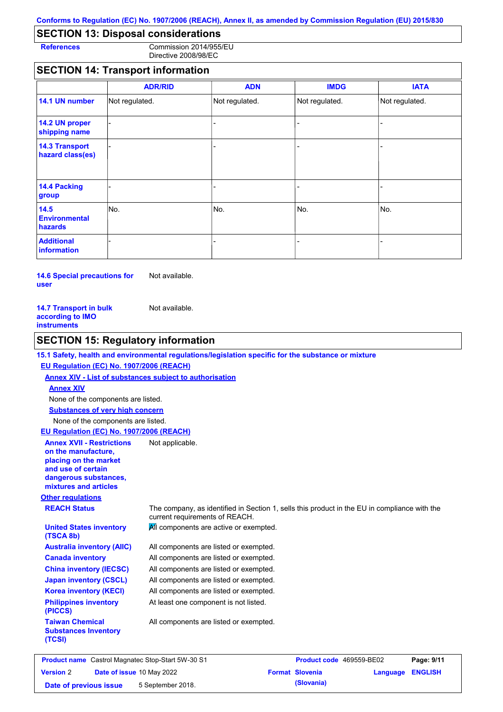# **SECTION 13: Disposal considerations**

**References** Commission 2014/955/EU Directive 2008/98/EC

# **SECTION 14: Transport information**

|                                           | <b>ADR/RID</b> | <b>ADN</b>     | <b>IMDG</b>              | <b>IATA</b>    |
|-------------------------------------------|----------------|----------------|--------------------------|----------------|
| 14.1 UN number                            | Not regulated. | Not regulated. | Not regulated.           | Not regulated. |
| 14.2 UN proper<br>shipping name           |                |                |                          |                |
| <b>14.3 Transport</b><br>hazard class(es) |                |                |                          |                |
| 14.4 Packing<br>group                     |                |                | $\overline{\phantom{0}}$ |                |
| 14.5<br><b>Environmental</b><br>hazards   | No.            | No.            | No.                      | No.            |
| <b>Additional</b><br>information          |                |                | -                        |                |

**14.6 Special precautions for user** Not available.

| <b>14.7 Transport in bulk</b> | Not available. |
|-------------------------------|----------------|
| according to IMO              |                |
| <b>instruments</b>            |                |

**Version** 2

# **SECTION 15: Regulatory information**

| EU Regulation (EC) No. 1907/2006 (REACH)                                                                                                                 |                                                                                                                                |
|----------------------------------------------------------------------------------------------------------------------------------------------------------|--------------------------------------------------------------------------------------------------------------------------------|
|                                                                                                                                                          | Annex XIV - List of substances subject to authorisation                                                                        |
| <b>Annex XIV</b>                                                                                                                                         |                                                                                                                                |
| None of the components are listed.                                                                                                                       |                                                                                                                                |
| <b>Substances of very high concern</b>                                                                                                                   |                                                                                                                                |
| None of the components are listed.                                                                                                                       |                                                                                                                                |
| EU Regulation (EC) No. 1907/2006 (REACH)                                                                                                                 |                                                                                                                                |
| <b>Annex XVII - Restrictions</b><br>on the manufacture,<br>placing on the market<br>and use of certain<br>dangerous substances,<br>mixtures and articles | Not applicable.                                                                                                                |
| <b>Other regulations</b>                                                                                                                                 |                                                                                                                                |
| <b>REACH Status</b>                                                                                                                                      | The company, as identified in Section 1, sells this product in the EU in compliance with the<br>current requirements of REACH. |
| <b>United States inventory</b><br>(TSCA 8b)                                                                                                              | All components are active or exempted.                                                                                         |
| <b>Australia inventory (AIIC)</b>                                                                                                                        | All components are listed or exempted.                                                                                         |
| <b>Canada inventory</b>                                                                                                                                  | All components are listed or exempted.                                                                                         |
| <b>China inventory (IECSC)</b>                                                                                                                           | All components are listed or exempted.                                                                                         |
| <b>Japan inventory (CSCL)</b>                                                                                                                            | All components are listed or exempted.                                                                                         |
| <b>Korea inventory (KECI)</b>                                                                                                                            | All components are listed or exempted.                                                                                         |
| <b>Philippines inventory</b><br>(PICCS)                                                                                                                  | At least one component is not listed.                                                                                          |
| <b>Taiwan Chemical</b><br><b>Substances Inventory</b><br>(TCSI)                                                                                          | All components are listed or exempted.                                                                                         |

**Date of issue** 10 May 2022 **Format Slovenia Language ENGLISH**

**Date of previous issue 5** September 2018. **(Slovania) (Slovania)**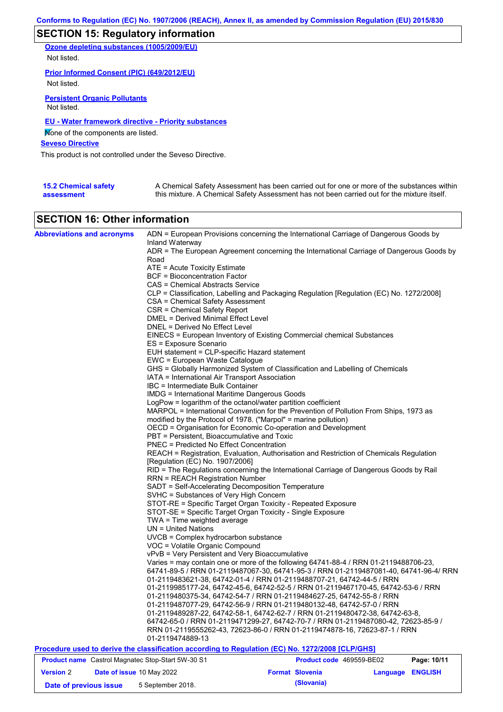## **SECTION 15: Regulatory information**

**Ozone depleting substances (1005/2009/EU)** Not listed.

**Prior Informed Consent (PIC) (649/2012/EU)** Not listed.

**Persistent Organic Pollutants** Not listed.

### **EU - Water framework directive - Priority substances**

None of the components are listed.

**Seveso Directive**

This product is not controlled under the Seveso Directive.

| <b>15.2 Chemical safety</b> | A Chemical Safety Assessment has been carried out for one or more of the substances within  |
|-----------------------------|---------------------------------------------------------------------------------------------|
| assessment                  | this mixture. A Chemical Safety Assessment has not been carried out for the mixture itself. |

## **SECTION 16: Other information**

| <b>Abbreviations and acronyms</b>                 | ADN = European Provisions concerning the International Carriage of Dangerous Goods by<br>Inland Waterway |                          |                 |                |  |  |
|---------------------------------------------------|----------------------------------------------------------------------------------------------------------|--------------------------|-----------------|----------------|--|--|
|                                                   | ADR = The European Agreement concerning the International Carriage of Dangerous Goods by                 |                          |                 |                |  |  |
|                                                   | Road                                                                                                     |                          |                 |                |  |  |
|                                                   | ATE = Acute Toxicity Estimate                                                                            |                          |                 |                |  |  |
|                                                   | <b>BCF = Bioconcentration Factor</b>                                                                     |                          |                 |                |  |  |
|                                                   | CAS = Chemical Abstracts Service                                                                         |                          |                 |                |  |  |
|                                                   | CLP = Classification, Labelling and Packaging Regulation [Regulation (EC) No. 1272/2008]                 |                          |                 |                |  |  |
|                                                   | CSA = Chemical Safety Assessment                                                                         |                          |                 |                |  |  |
|                                                   | CSR = Chemical Safety Report                                                                             |                          |                 |                |  |  |
|                                                   | <b>DMEL = Derived Minimal Effect Level</b>                                                               |                          |                 |                |  |  |
|                                                   | DNEL = Derived No Effect Level                                                                           |                          |                 |                |  |  |
|                                                   | EINECS = European Inventory of Existing Commercial chemical Substances                                   |                          |                 |                |  |  |
|                                                   | ES = Exposure Scenario                                                                                   |                          |                 |                |  |  |
|                                                   | EUH statement = CLP-specific Hazard statement                                                            |                          |                 |                |  |  |
|                                                   | EWC = European Waste Catalogue                                                                           |                          |                 |                |  |  |
|                                                   | GHS = Globally Harmonized System of Classification and Labelling of Chemicals                            |                          |                 |                |  |  |
|                                                   | IATA = International Air Transport Association                                                           |                          |                 |                |  |  |
|                                                   | IBC = Intermediate Bulk Container                                                                        |                          |                 |                |  |  |
|                                                   | <b>IMDG</b> = International Maritime Dangerous Goods                                                     |                          |                 |                |  |  |
|                                                   | LogPow = logarithm of the octanol/water partition coefficient                                            |                          |                 |                |  |  |
|                                                   | MARPOL = International Convention for the Prevention of Pollution From Ships, 1973 as                    |                          |                 |                |  |  |
|                                                   | modified by the Protocol of 1978. ("Marpol" = marine pollution)                                          |                          |                 |                |  |  |
|                                                   | OECD = Organisation for Economic Co-operation and Development                                            |                          |                 |                |  |  |
|                                                   | PBT = Persistent, Bioaccumulative and Toxic                                                              |                          |                 |                |  |  |
|                                                   | <b>PNEC</b> = Predicted No Effect Concentration                                                          |                          |                 |                |  |  |
|                                                   | REACH = Registration, Evaluation, Authorisation and Restriction of Chemicals Regulation                  |                          |                 |                |  |  |
|                                                   | [Regulation (EC) No. 1907/2006]                                                                          |                          |                 |                |  |  |
|                                                   | RID = The Regulations concerning the International Carriage of Dangerous Goods by Rail                   |                          |                 |                |  |  |
|                                                   | <b>RRN = REACH Registration Number</b>                                                                   |                          |                 |                |  |  |
|                                                   | SADT = Self-Accelerating Decomposition Temperature                                                       |                          |                 |                |  |  |
|                                                   | SVHC = Substances of Very High Concern                                                                   |                          |                 |                |  |  |
|                                                   | STOT-RE = Specific Target Organ Toxicity - Repeated Exposure                                             |                          |                 |                |  |  |
|                                                   | STOT-SE = Specific Target Organ Toxicity - Single Exposure                                               |                          |                 |                |  |  |
|                                                   | $TWA = Time weighted average$                                                                            |                          |                 |                |  |  |
|                                                   | $UN = United Nations$                                                                                    |                          |                 |                |  |  |
|                                                   | UVCB = Complex hydrocarbon substance                                                                     |                          |                 |                |  |  |
|                                                   | VOC = Volatile Organic Compound                                                                          |                          |                 |                |  |  |
|                                                   | vPvB = Very Persistent and Very Bioaccumulative                                                          |                          |                 |                |  |  |
|                                                   | Varies = may contain one or more of the following 64741-88-4 / RRN 01-2119488706-23,                     |                          |                 |                |  |  |
|                                                   | 64741-89-5 / RRN 01-2119487067-30, 64741-95-3 / RRN 01-2119487081-40, 64741-96-4/ RRN                    |                          |                 |                |  |  |
|                                                   | 01-2119483621-38, 64742-01-4 / RRN 01-2119488707-21, 64742-44-5 / RRN                                    |                          |                 |                |  |  |
|                                                   | 01-2119985177-24, 64742-45-6, 64742-52-5 / RRN 01-2119467170-45, 64742-53-6 / RRN                        |                          |                 |                |  |  |
|                                                   | 01-2119480375-34, 64742-54-7 / RRN 01-2119484627-25, 64742-55-8 / RRN                                    |                          |                 |                |  |  |
|                                                   | 01-2119487077-29, 64742-56-9 / RRN 01-2119480132-48, 64742-57-0 / RRN                                    |                          |                 |                |  |  |
|                                                   | 01-2119489287-22, 64742-58-1, 64742-62-7 / RRN 01-2119480472-38, 64742-63-8,                             |                          |                 |                |  |  |
|                                                   | 64742-65-0 / RRN 01-2119471299-27, 64742-70-7 / RRN 01-2119487080-42, 72623-85-9 /                       |                          |                 |                |  |  |
|                                                   | RRN 01-2119555262-43, 72623-86-0 / RRN 01-2119474878-16, 72623-87-1 / RRN                                |                          |                 |                |  |  |
|                                                   | 01-2119474889-13                                                                                         |                          |                 |                |  |  |
|                                                   | Procedure used to derive the classification according to Regulation (EC) No. 1272/2008 [CLP/GHS]         |                          |                 |                |  |  |
| Product name Castrol Magnatec Stop-Start 5W-30 S1 |                                                                                                          | Product code 469559-BE02 |                 | Page: 10/11    |  |  |
| <b>Version 2</b><br>Date of issue 10 May 2022     |                                                                                                          | <b>Format Slovenia</b>   | <b>Language</b> | <b>ENGLISH</b> |  |  |

**Date of previous issue 5** September 2018. **(Slovania)**